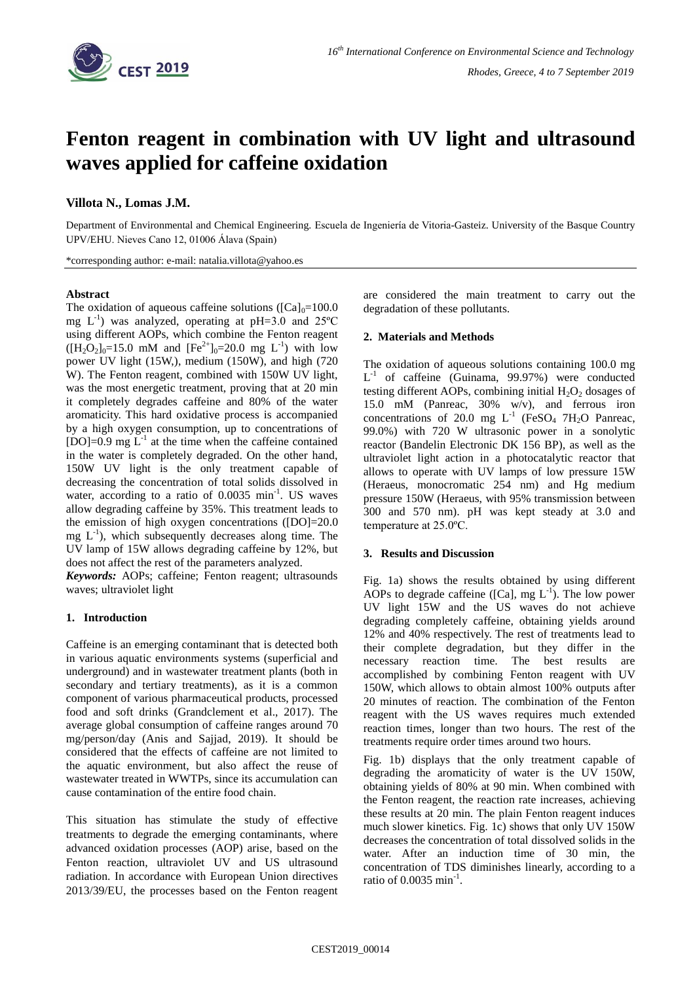

# **Fenton reagent in combination with UV light and ultrasound waves applied for caffeine oxidation**

## **Villota N., Lomas J.M.**

Department of Environmental and Chemical Engineering. Escuela de Ingeniería de Vitoria-Gasteiz. University of the Basque Country UPV/EHU. Nieves Cano 12, 01006 Álava (Spain)

\*corresponding author: e-mail: natalia.villota@yahoo.es

#### **Abstract**

The oxidation of aqueous caffeine solutions ( $\text{[Ca]}_{0}=100.0$ ) mg  $L^{-1}$ ) was analyzed, operating at pH=3.0 and 25°C using different AOPs, which combine the Fenton reagent  $([H_2O_2]_0=15.0$  mM and  $[Fe^{2+}]_0=20.0$  mg L<sup>-1</sup>) with low power UV light (15W,), medium (150W), and high (720 W). The Fenton reagent, combined with 150W UV light, was the most energetic treatment, proving that at 20 min it completely degrades caffeine and 80% of the water aromaticity. This hard oxidative process is accompanied by a high oxygen consumption, up to concentrations of [DO]= $0.9 \text{ mg L}^{-1}$  at the time when the caffeine contained in the water is completely degraded. On the other hand, 150W UV light is the only treatment capable of decreasing the concentration of total solids dissolved in water, according to a ratio of 0.0035 min<sup>-1</sup>. US waves allow degrading caffeine by 35%. This treatment leads to the emission of high oxygen concentrations ([DO]=20.0  $mg L^{-1}$ ), which subsequently decreases along time. The UV lamp of 15W allows degrading caffeine by 12%, but does not affect the rest of the parameters analyzed.

*Keywords:* AOPs; caffeine; Fenton reagent; ultrasounds waves; ultraviolet light

## **1. Introduction**

Caffeine is an emerging contaminant that is detected both in various aquatic environments systems (superficial and underground) and in wastewater treatment plants (both in secondary and tertiary treatments), as it is a common component of various pharmaceutical products, processed food and soft drinks (Grandclement et al., 2017). The average global consumption of caffeine ranges around 70 mg/person/day (Anis and Sajjad, 2019). It should be considered that the effects of caffeine are not limited to the aquatic environment, but also affect the reuse of wastewater treated in WWTPs, since its accumulation can cause contamination of the entire food chain.

This situation has stimulate the study of effective treatments to degrade the emerging contaminants, where advanced oxidation processes (AOP) arise, based on the Fenton reaction, ultraviolet UV and US ultrasound radiation. In accordance with European Union directives 2013/39/EU, the processes based on the Fenton reagent are considered the main treatment to carry out the degradation of these pollutants.

#### **2. Materials and Methods**

The oxidation of aqueous solutions containing 100.0 mg L -1 of caffeine (Guinama, 99.97%) were conducted testing different AOPs, combining initial  $H_2O_2$  dosages of 15.0 mM (Panreac, 30% w/v), and ferrous iron concentrations of 20.0 mg  $L^{-1}$  (FeSO<sub>4</sub> 7H<sub>2</sub>O Panreac, 99.0%) with 720 W ultrasonic power in a sonolytic reactor (Bandelin Electronic DK 156 BP), as well as the ultraviolet light action in a photocatalytic reactor that allows to operate with UV lamps of low pressure 15W (Heraeus, monocromatic 254 nm) and Hg medium pressure 150W (Heraeus, with 95% transmission between 300 and 570 nm). pH was kept steady at 3.0 and temperature at 25.0ºC.

## **3. Results and Discussion**

Fig. 1a) shows the results obtained by using different AOPs to degrade caffeine ([Ca], mg  $L^{-1}$ ). The low power UV light 15W and the US waves do not achieve degrading completely caffeine, obtaining yields around 12% and 40% respectively. The rest of treatments lead to their complete degradation, but they differ in the necessary reaction time. The best results are accomplished by combining Fenton reagent with UV 150W, which allows to obtain almost 100% outputs after 20 minutes of reaction. The combination of the Fenton reagent with the US waves requires much extended reaction times, longer than two hours. The rest of the treatments require order times around two hours.

Fig. 1b) displays that the only treatment capable of degrading the aromaticity of water is the UV 150W, obtaining yields of 80% at 90 min. When combined with the Fenton reagent, the reaction rate increases, achieving these results at 20 min. The plain Fenton reagent induces much slower kinetics. Fig. 1c) shows that only UV 150W decreases the concentration of total dissolved solids in the water. After an induction time of 30 min, the concentration of TDS diminishes linearly, according to a ratio of 0.0035 min<sup>-1</sup>.